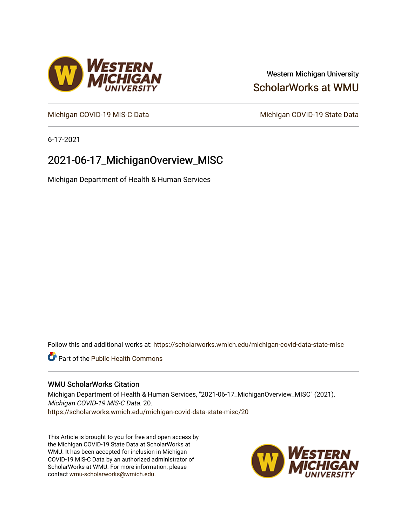## Western Michigan University [ScholarWorks at WMU](https://scholarworks.wmich.edu/)

[Michigan COVID-19 MIS-C Data](https://scholarworks.wmich.edu/michigan-covid-data-state-misc) Michigan COVID-19 State Data

6-17-2021

## 2021-06-17\_MichiganOverview\_MISC

Michigan Department of Health & Human Services

Follow this and additional works at: [https://scholarworks.wmich.edu/michigan-covid-data-state-misc](https://scholarworks.wmich.edu/michigan-covid-data-state-misc?utm_source=scholarworks.wmich.edu%2Fmichigan-covid-data-state-misc%2F20&utm_medium=PDF&utm_campaign=PDFCoverPages) 

**Part of the Public Health Commons** 

#### WMU ScholarWorks Citation

Michigan Department of Health & Human Services, "2021-06-17\_MichiganOverview\_MISC" (2021). Michigan COVID-19 MIS-C Data. 20. [https://scholarworks.wmich.edu/michigan-covid-data-state-misc/20](https://scholarworks.wmich.edu/michigan-covid-data-state-misc/20?utm_source=scholarworks.wmich.edu%2Fmichigan-covid-data-state-misc%2F20&utm_medium=PDF&utm_campaign=PDFCoverPages)

This Article is brought to you for free and open access by the Michigan COVID-19 State Data at ScholarWorks at WMU. It has been accepted for inclusion in Michigan COVID-19 MIS-C Data by an authorized administrator of ScholarWorks at WMU. For more information, please contact [wmu-scholarworks@wmich.edu](mailto:wmu-scholarworks@wmich.edu).



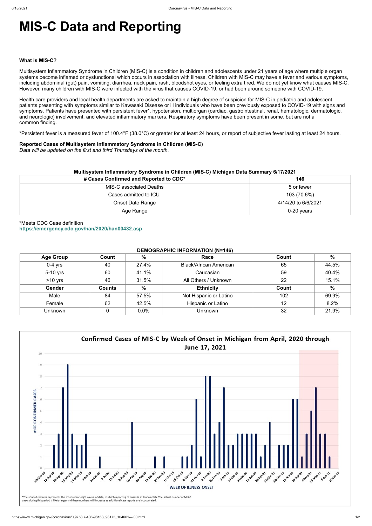# **MIS-C Data and Reporting**

#### **What is MIS-C?**

Multisystem Inflammatory Syndrome in Children (MIS-C) is a condition in children and adolescents under 21 years of age where multiple organ systems become inflamed or dysfunctional which occurs in association with illness. Children with MIS-C may have a fever and various symptoms, including abdominal (gut) pain, vomiting, diarrhea, neck pain, rash, bloodshot eyes, or feeling extra tired. We do not yet know what causes MIS-C. However, many children with MIS-C were infected with the virus that causes COVID-19, or had been around someone with COVID-19.

Health care providers and local health departments are asked to maintain a high degree of suspicion for MIS-C in pediatric and adolescent patients presenting with symptoms similar to Kawasaki Disease or ill individuals who have been previously exposed to COVID-19 with signs and symptoms. Patients have presented with persistent fever\*, hypotension, multiorgan (cardiac, gastrointestinal, renal, hematologic, dermatologic, and neurologic) involvement, and elevated inflammatory markers. Respiratory symptoms have been present in some, but are not a common finding.

\*Persistent fever is a measured fever of 100.4°F (38.0°C) or greater for at least 24 hours, or report of subjective fever lasting at least 24 hours.

#### **Reported Cases of Multisystem Inflammatory Syndrome in Children (MIS-C)**

*Data will be updated on the first and third Thursdays of the month.*

| Multisystem Inflammatory Syndrome in Children (MIS-C) Michigan Data Summary 6/17/2021 |                     |  |  |  |
|---------------------------------------------------------------------------------------|---------------------|--|--|--|
| # Cases Confirmed and Reported to CDC*                                                | 146                 |  |  |  |
| MIS-C associated Deaths                                                               | 5 or fewer          |  |  |  |
| Cases admitted to ICU                                                                 | 103 (70.6%)         |  |  |  |
| <b>Onset Date Range</b>                                                               | 4/14/20 to 6/6/2021 |  |  |  |
| Age Range                                                                             | $0-20$ years        |  |  |  |

\*Meets CDC Case definition **<https://emergency.cdc.gov/han/2020/han00432.asp>**

#### **DEMOGRAPHIC INFORMATION (N=146)**

| <b>Age Group</b> | Count         | %     | Race                          | Count | $\%$  |
|------------------|---------------|-------|-------------------------------|-------|-------|
| $0-4$ yrs        | 40            | 27.4% | <b>Black/African American</b> | 65    | 44.5% |
| 5-10 yrs         | 60            | 41.1% | Caucasian                     | 59    | 40.4% |
| $>10$ yrs        | 46            | 31.5% | All Others / Unknown          | 22    | 15.1% |
| Gender           | <b>Counts</b> | $\%$  | <b>Ethnicity</b>              | Count | $\%$  |
| Male             | 84            | 57.5% | Not Hispanic or Latino        | 102   | 69.9% |
| Female           | 62            | 42.5% | Hispanic or Latino            | 12    | 8.2%  |
| Unknown          |               | 0.0%  | <b>Unknown</b>                | 32    | 21.9% |